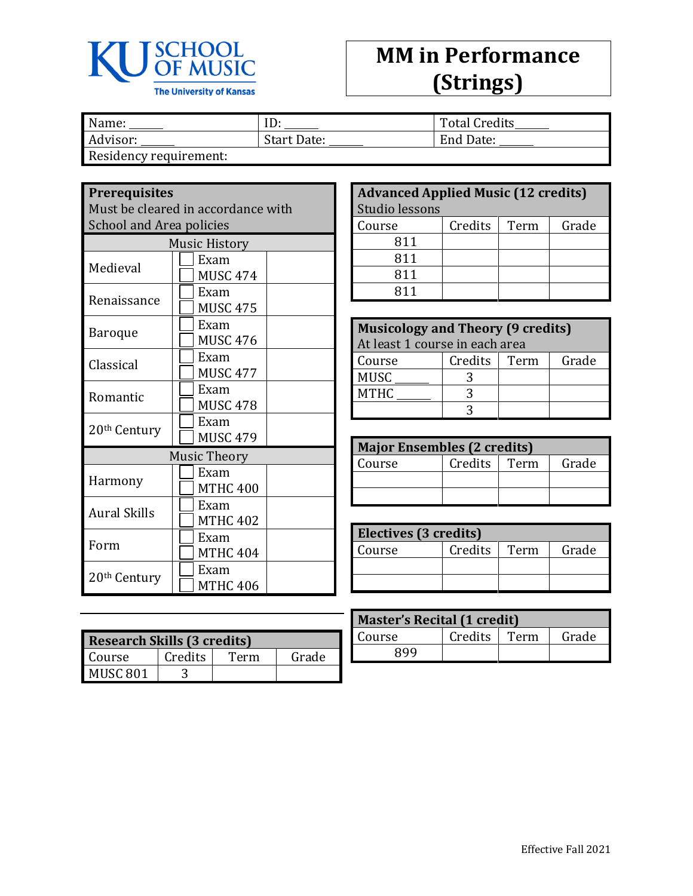

## **MM in Performance (Strings)**

| Name:                 | ιv.                | <b>Total Credits</b> |
|-----------------------|--------------------|----------------------|
| Advisor:              | <b>Start Date:</b> | End Date:            |
| Docidancy roquiramont |                    |                      |

Residency requirement:

| <b>Prerequisites</b>            | Must be cleared in accordance with |  |
|---------------------------------|------------------------------------|--|
| <b>School and Area policies</b> |                                    |  |
|                                 | <b>Music History</b>               |  |
| Medieval                        | Exam<br><b>MUSC 474</b>            |  |
| Renaissance                     | Exam<br><b>MUSC 475</b>            |  |
| Baroque                         | Exam<br><b>MUSC 476</b>            |  |
| Classical                       | Exam<br><b>MUSC 477</b>            |  |
| Romantic                        | Exam<br><b>MUSC 478</b>            |  |
| 20 <sup>th</sup> Century        | Exam<br><b>MUSC 479</b>            |  |
| <b>Music Theory</b>             |                                    |  |
| Harmony                         | Exam<br><b>MTHC 400</b>            |  |
| <b>Aural Skills</b>             | Exam<br><b>MTHC 402</b>            |  |
| Form                            | Exam<br><b>MTHC 404</b>            |  |
| 20 <sup>th</sup> Century        | Exam<br><b>MTHC 406</b>            |  |
|                                 |                                    |  |

| <b>Research Skills (3 credits)</b> |         |      |       |
|------------------------------------|---------|------|-------|
| Course                             | Credits | Term | Grade |
| MUSC <sub>801</sub>                |         |      |       |

| <b>Advanced Applied Music (12 credits)</b> |         |      |       |
|--------------------------------------------|---------|------|-------|
| Studio lessons                             |         |      |       |
| Course                                     | Credits | Term | Grade |
| 811                                        |         |      |       |
| 811                                        |         |      |       |
| 811                                        |         |      |       |
| 811                                        |         |      |       |

| <b>Musicology and Theory (9 credits)</b> |         |      |       |
|------------------------------------------|---------|------|-------|
| At least 1 course in each area           |         |      |       |
| Course                                   | Credits | Term | Grade |
| <b>MUSC</b>                              |         |      |       |
| <b>MTHC</b>                              |         |      |       |
|                                          |         |      |       |

| <b>Major Ensembles (2 credits)</b> |         |      |       |
|------------------------------------|---------|------|-------|
| Course                             | Credits | Term | Grade |
|                                    |         |      |       |
|                                    |         |      |       |

| Electives (3 credits) |         |      |       |
|-----------------------|---------|------|-------|
| Course                | Credits | Term | Grade |
|                       |         |      |       |
|                       |         |      |       |

| <b>Master's Recital (1 credit)</b> |         |      |       |
|------------------------------------|---------|------|-------|
| Course                             | Credits | Term | Grade |
| QQQ                                |         |      |       |